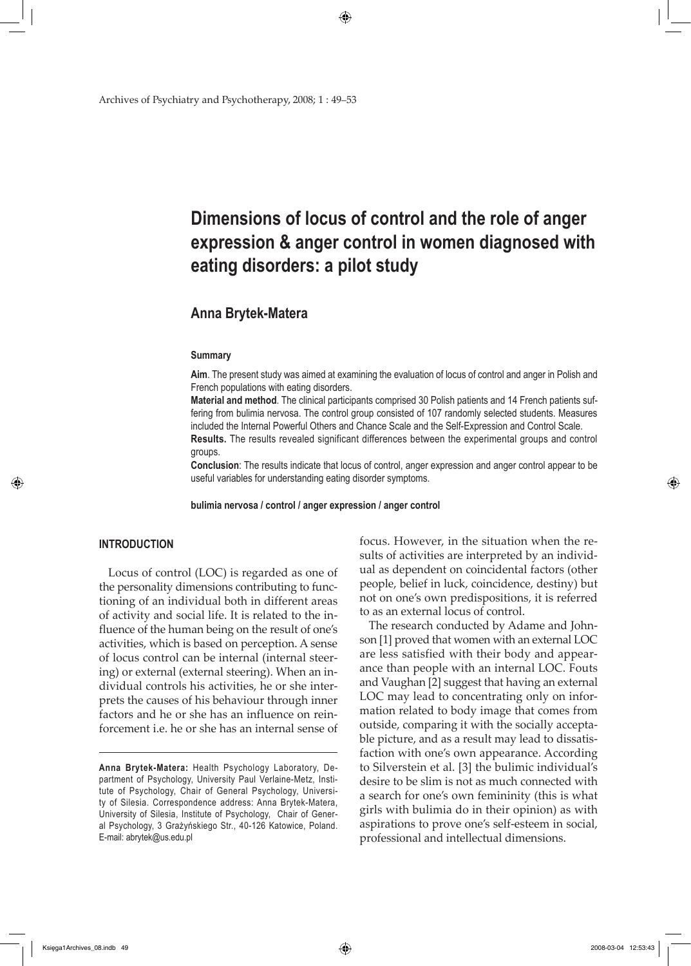Archives of Psychiatry and Psychotherapy, 2008; 1 : 49–53

# **Dimensions of locus of control and the role of anger expression & anger control in women diagnosed with eating disorders: a pilot study**

◈

# **Anna Brytek-Matera**

#### **Summary**

**Aim**. The present study was aimed at examining the evaluation of locus of control and anger in Polish and French populations with eating disorders.

**Material and method**. The clinical participants comprised 30 Polish patients and 14 French patients suffering from bulimia nervosa. The control group consisted of 107 randomly selected students. Measures included the Internal Powerful Others and Chance Scale and the Self-Expression and Control Scale. **Results.** The results revealed significant differences between the experimental groups and control

groups.

**Conclusion**: The results indicate that locus of control, anger expression and anger control appear to be useful variables for understanding eating disorder symptoms.

**bulimia nervosa / control / anger expression / anger control**

# **INTRODUCTION**

↔

Locus of control (LOC) is regarded as one of the personality dimensions contributing to functioning of an individual both in different areas of activity and social life. It is related to the influence of the human being on the result of one's activities, which is based on perception. A sense of locus control can be internal (internal steering) or external (external steering). When an individual controls his activities, he or she interprets the causes of his behaviour through inner factors and he or she has an influence on reinforcement i.e. he or she has an internal sense of focus. However, in the situation when the results of activities are interpreted by an individual as dependent on coincidental factors (other people, belief in luck, coincidence, destiny) but not on one's own predispositions, it is referred to as an external locus of control.

The research conducted by Adame and Johnson [1] proved that women with an external LOC are less satisfied with their body and appearance than people with an internal LOC. Fouts and Vaughan [2] suggest that having an external LOC may lead to concentrating only on information related to body image that comes from outside, comparing it with the socially acceptable picture, and as a result may lead to dissatisfaction with one's own appearance. According to Silverstein et al. [3] the bulimic individual's desire to be slim is not as much connected with a search for one's own femininity (this is what girls with bulimia do in their opinion) as with aspirations to prove one's self-esteem in social, professional and intellectual dimensions.

⊕

**Anna Brytek-Matera:** Health Psychology Laboratory, Department of Psychology, University Paul Verlaine-Metz, Institute of Psychology, Chair of General Psychology, University of Silesia. Correspondence address: Anna Brytek-Matera, University of Silesia, Institute of Psychology, Chair of General Psychology, 3 Grażyńskiego Str., 40-126 Katowice, Poland. E-mail: abrytek@us.edu.pl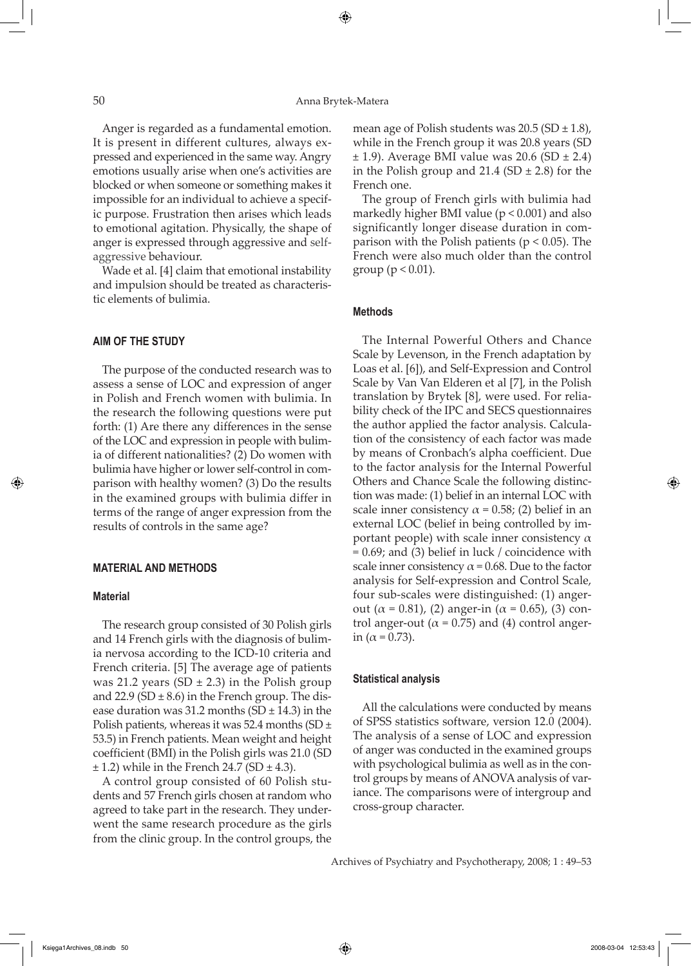⊕

Anger is regarded as a fundamental emotion. It is present in different cultures, always expressed and experienced in the same way. Angry emotions usually arise when one's activities are blocked or when someone or something makes it impossible for an individual to achieve a specific purpose. Frustration then arises which leads to emotional agitation. Physically, the shape of anger is expressed through aggressive and selfaggressive behaviour.

Wade et al. [4] claim that emotional instability and impulsion should be treated as characteristic elements of bulimia.

# **Aim of the study**

The purpose of the conducted research was to assess a sense of LOC and expression of anger in Polish and French women with bulimia. In the research the following questions were put forth: (1) Are there any differences in the sense of the LOC and expression in people with bulimia of different nationalities? (2) Do women with bulimia have higher or lower self-control in comparison with healthy women? (3) Do the results in the examined groups with bulimia differ in terms of the range of anger expression from the results of controls in the same age?

# **MATERIAL AND METHODS**

#### **Material**

⇔

The research group consisted of 30 Polish girls and 14 French girls with the diagnosis of bulimia nervosa according to the ICD-10 criteria and French criteria. [5] The average age of patients was 21.2 years (SD  $\pm$  2.3) in the Polish group and 22.9 (SD  $\pm$  8.6) in the French group. The disease duration was 31.2 months (SD  $\pm$  14.3) in the Polish patients, whereas it was 52.4 months (SD  $\pm$ 53.5) in French patients. Mean weight and height coefficient (BMI) in the Polish girls was 21.0 (SD  $\pm$  1.2) while in the French 24.7 (SD  $\pm$  4.3).

A control group consisted of 60 Polish students and 57 French girls chosen at random who agreed to take part in the research. They underwent the same research procedure as the girls from the clinic group. In the control groups, the

mean age of Polish students was  $20.5$  (SD  $\pm$  1.8), while in the French group it was 20.8 years (SD  $\pm$  1.9). Average BMI value was 20.6 (SD  $\pm$  2.4) in the Polish group and  $21.4$  (SD  $\pm$  2.8) for the French one.

The group of French girls with bulimia had markedly higher BMI value (p < 0.001) and also significantly longer disease duration in comparison with the Polish patients ( $p < 0.05$ ). The French were also much older than the control group ( $p < 0.01$ ).

# **Methods**

The Internal Powerful Others and Chance Scale by Levenson, in the French adaptation by Loas et al. [6]), and Self-Expression and Control Scale by Van Van Elderen et al [7], in the Polish translation by Brytek [8], were used. For reliability check of the IPC and SECS questionnaires the author applied the factor analysis. Calculation of the consistency of each factor was made by means of Cronbach's alpha coefficient. Due to the factor analysis for the Internal Powerful Others and Chance Scale the following distinction was made: (1) belief in an internal LOC with scale inner consistency  $\alpha$  = 0.58; (2) belief in an external LOC (belief in being controlled by important people) with scale inner consistency  $\alpha$  $= 0.69$ ; and (3) belief in luck / coincidence with scale inner consistency  $\alpha$  = 0.68. Due to the factor analysis for Self-expression and Control Scale, four sub-scales were distinguished: (1) angerout ( $\alpha$  = 0.81), (2) anger-in ( $\alpha$  = 0.65), (3) control anger-out ( $\alpha$  = 0.75) and (4) control angerin ( $α = 0.73$ ).

#### **Statistical analysis**

All the calculations were conducted by means of SPSS statistics software, version 12.0 (2004). The analysis of a sense of LOC and expression of anger was conducted in the examined groups with psychological bulimia as well as in the control groups by means of ANOVA analysis of variance. The comparisons were of intergroup and cross-group character.

Archives of Psychiatry and Psychotherapy, 2008; 1 : 49–53

Księga1Archives\_08.indb 50 2008-03-04 12:53:43

 $\Leftrightarrow$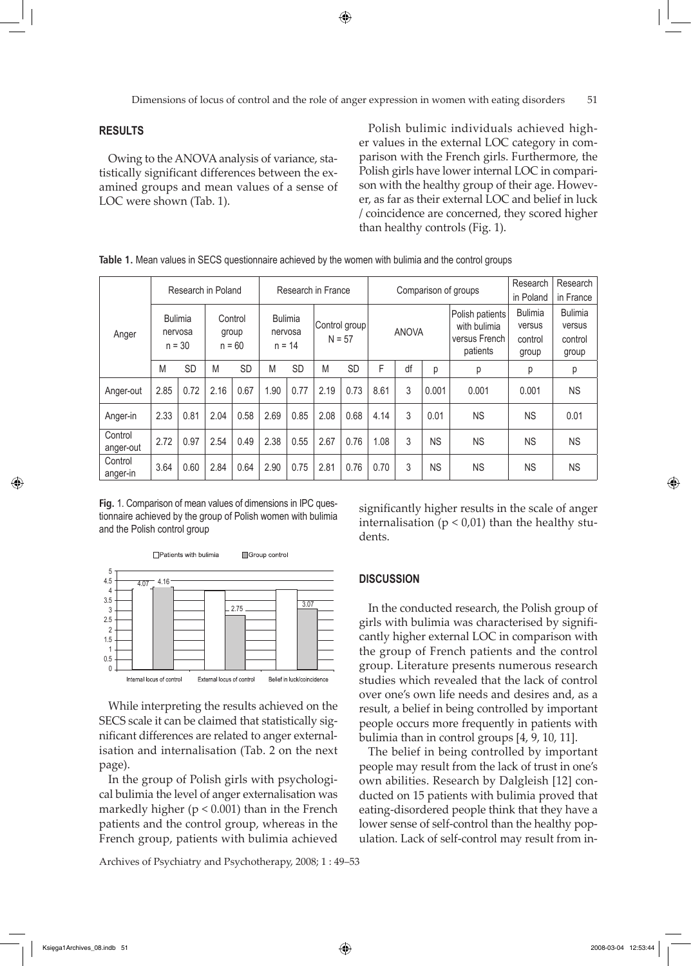⊕

Dimensions of locus of control and the role of anger expression in women with eating disorders 51

# **RESULTS**

Owing to the ANOVA analysis of variance, statistically significant differences between the examined groups and mean values of a sense of LOC were shown (Tab. 1).

Polish bulimic individuals achieved higher values in the external LOC category in comparison with the French girls. Furthermore, the Polish girls have lower internal LOC in comparison with the healthy group of their age. However, as far as their external LOC and belief in luck / coincidence are concerned, they scored higher than healthy controls (Fig. 1).

| Anger                |                                       | Research in Poland |                              |           | Research in France                    |           |                           |           | Comparison of groups |    |           |                                                              | Research<br>in Poland                        | Research<br>in France                        |
|----------------------|---------------------------------------|--------------------|------------------------------|-----------|---------------------------------------|-----------|---------------------------|-----------|----------------------|----|-----------|--------------------------------------------------------------|----------------------------------------------|----------------------------------------------|
|                      | <b>Bulimia</b><br>nervosa<br>$n = 30$ |                    | Control<br>group<br>$n = 60$ |           | <b>Bulimia</b><br>nervosa<br>$n = 14$ |           | Control group<br>$N = 57$ |           | <b>ANOVA</b>         |    |           | Polish patients<br>with bulimia<br>versus French<br>patients | <b>Bulimia</b><br>versus<br>control<br>group | <b>Bulimia</b><br>versus<br>control<br>group |
|                      | M                                     | <b>SD</b>          | M                            | <b>SD</b> | M                                     | <b>SD</b> | M                         | <b>SD</b> | F                    | df | p         | р                                                            | р                                            | р                                            |
| Anger-out            | 2.85                                  | 0.72               | 2.16                         | 0.67      | 1.90                                  | 0.77      | 2.19                      | 0.73      | 8.61                 | 3  | 0.001     | 0.001                                                        | 0.001                                        | <b>NS</b>                                    |
| Anger-in             | 2.33                                  | 0.81               | 2.04                         | 0.58      | 2.69                                  | 0.85      | 2.08                      | 0.68      | 4.14                 | 3  | 0.01      | <b>NS</b>                                                    | <b>NS</b>                                    | 0.01                                         |
| Control<br>anger-out | 2.72                                  | 0.97               | 2.54                         | 0.49      | 2.38                                  | 0.55      | 2.67                      | 0.76      | 1.08                 | 3  | <b>NS</b> | <b>NS</b>                                                    | <b>NS</b>                                    | <b>NS</b>                                    |
| Control<br>anger-in  | 3.64                                  | 0.60               | 2.84                         | 0.64      | 2.90                                  | 0.75      | 2.81                      | 0.76      | 0.70                 | 3  | <b>NS</b> | <b>NS</b>                                                    | <b>NS</b>                                    | <b>NS</b>                                    |

**Table 1.** Mean values in SECS questionnaire achieved by the women with bulimia and the control groups

**Fig.** 1. Comparison of mean values of dimensions in IPC questionnaire achieved by the group of Polish women with bulimia and the Polish control group



While interpreting the results achieved on the SECS scale it can be claimed that statistically significant differences are related to anger externalisation and internalisation (Tab. 2 on the next page).

In the group of Polish girls with psychological bulimia the level of anger externalisation was markedly higher ( $p < 0.001$ ) than in the French patients and the control group, whereas in the French group, patients with bulimia achieved

Archives of Psychiatry and Psychotherapy, 2008; 1 : 49–53

significantly higher results in the scale of anger internalisation ( $p < 0.01$ ) than the healthy students.

#### **DISCUSSION**

In the conducted research, the Polish group of girls with bulimia was characterised by significantly higher external LOC in comparison with the group of French patients and the control group. Literature presents numerous research studies which revealed that the lack of control over one's own life needs and desires and, as a result, a belief in being controlled by important people occurs more frequently in patients with bulimia than in control groups [4, 9, 10, 11].

The belief in being controlled by important people may result from the lack of trust in one's own abilities. Research by Dalgleish [12] conducted on 15 patients with bulimia proved that eating-disordered people think that they have a lower sense of self-control than the healthy population. Lack of self-control may result from in-

Księga1Archives\_08.indb 51 2008-03-04 12:53:44

↔

⊕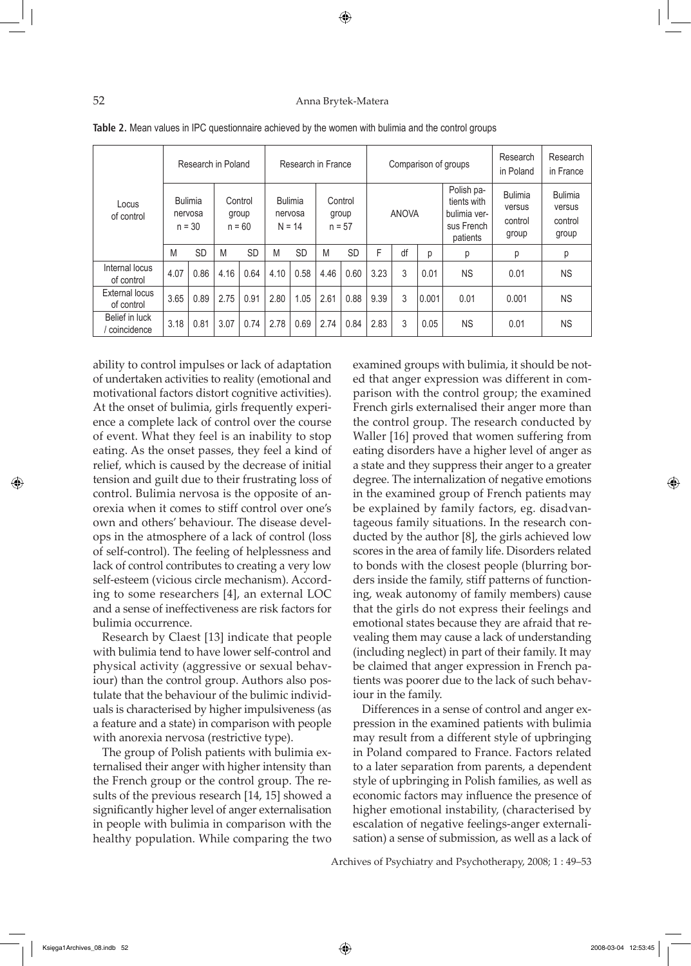### 52 Anna Brytek-Matera

◈

| Locus<br>of control           |                                       |           | Research in Poland           |           | Research in France                    |           |                              |           |              |    | Comparison of groups | Research<br>in Poland                                               | Research<br>in France                        |                                              |
|-------------------------------|---------------------------------------|-----------|------------------------------|-----------|---------------------------------------|-----------|------------------------------|-----------|--------------|----|----------------------|---------------------------------------------------------------------|----------------------------------------------|----------------------------------------------|
|                               | <b>Bulimia</b><br>nervosa<br>$n = 30$ |           | Control<br>group<br>$n = 60$ |           | <b>Bulimia</b><br>nervosa<br>$N = 14$ |           | Control<br>group<br>$n = 57$ |           | <b>ANOVA</b> |    |                      | Polish pa-<br>tients with<br>bulimia ver-<br>sus French<br>patients | <b>Bulimia</b><br>versus<br>control<br>group | <b>Bulimia</b><br>versus<br>control<br>group |
|                               | M                                     | <b>SD</b> | M                            | <b>SD</b> | M                                     | <b>SD</b> | M                            | <b>SD</b> | F            | df | р                    | р                                                                   | р                                            | р                                            |
| Internal locus<br>of control  | 4.07                                  | 0.86      | 4.16                         | 0.64      | 4.10                                  | 0.58      | 4.46                         | 0.60      | 3.23         | 3  | 0.01                 | <b>NS</b>                                                           | 0.01                                         | <b>NS</b>                                    |
| External locus<br>of control  | 3.65                                  | 0.89      | 2.75                         | 0.91      | 2.80                                  | 1.05      | 2.61                         | 0.88      | 9.39         | 3  | 0.001                | 0.01                                                                | 0.001                                        | <b>NS</b>                                    |
| Belief in luck<br>coincidence | 3.18                                  | 0.81      | 3.07                         | 0.74      | 2.78                                  | 0.69      | 2.74                         | 0.84      | 2.83         | 3  | 0.05                 | <b>NS</b>                                                           | 0.01                                         | <b>NS</b>                                    |

ability to control impulses or lack of adaptation of undertaken activities to reality (emotional and motivational factors distort cognitive activities). At the onset of bulimia, girls frequently experience a complete lack of control over the course of event. What they feel is an inability to stop eating. As the onset passes, they feel a kind of relief, which is caused by the decrease of initial tension and guilt due to their frustrating loss of control. Bulimia nervosa is the opposite of anorexia when it comes to stiff control over one's own and others' behaviour. The disease develops in the atmosphere of a lack of control (loss of self-control). The feeling of helplessness and lack of control contributes to creating a very low self-esteem (vicious circle mechanism). According to some researchers [4], an external LOC and a sense of ineffectiveness are risk factors for bulimia occurrence.

Research by Claest [13] indicate that people with bulimia tend to have lower self-control and physical activity (aggressive or sexual behaviour) than the control group. Authors also postulate that the behaviour of the bulimic individuals is characterised by higher impulsiveness (as a feature and a state) in comparison with people with anorexia nervosa (restrictive type).

The group of Polish patients with bulimia externalised their anger with higher intensity than the French group or the control group. The results of the previous research [14, 15] showed a significantly higher level of anger externalisation in people with bulimia in comparison with the healthy population. While comparing the two examined groups with bulimia, it should be noted that anger expression was different in comparison with the control group; the examined French girls externalised their anger more than the control group. The research conducted by Waller [16] proved that women suffering from eating disorders have a higher level of anger as a state and they suppress their anger to a greater degree. The internalization of negative emotions in the examined group of French patients may be explained by family factors, eg. disadvantageous family situations. In the research conducted by the author [8], the girls achieved low scores in the area of family life. Disorders related to bonds with the closest people (blurring borders inside the family, stiff patterns of functioning, weak autonomy of family members) cause that the girls do not express their feelings and emotional states because they are afraid that revealing them may cause a lack of understanding (including neglect) in part of their family. It may be claimed that anger expression in French patients was poorer due to the lack of such behaviour in the family.

Differences in a sense of control and anger expression in the examined patients with bulimia may result from a different style of upbringing in Poland compared to France. Factors related to a later separation from parents, a dependent style of upbringing in Polish families, as well as economic factors may influence the presence of higher emotional instability, (characterised by escalation of negative feelings-anger externalisation) a sense of submission, as well as a lack of

Archives of Psychiatry and Psychotherapy, 2008; 1 : 49–53

↔

 $\Leftrightarrow$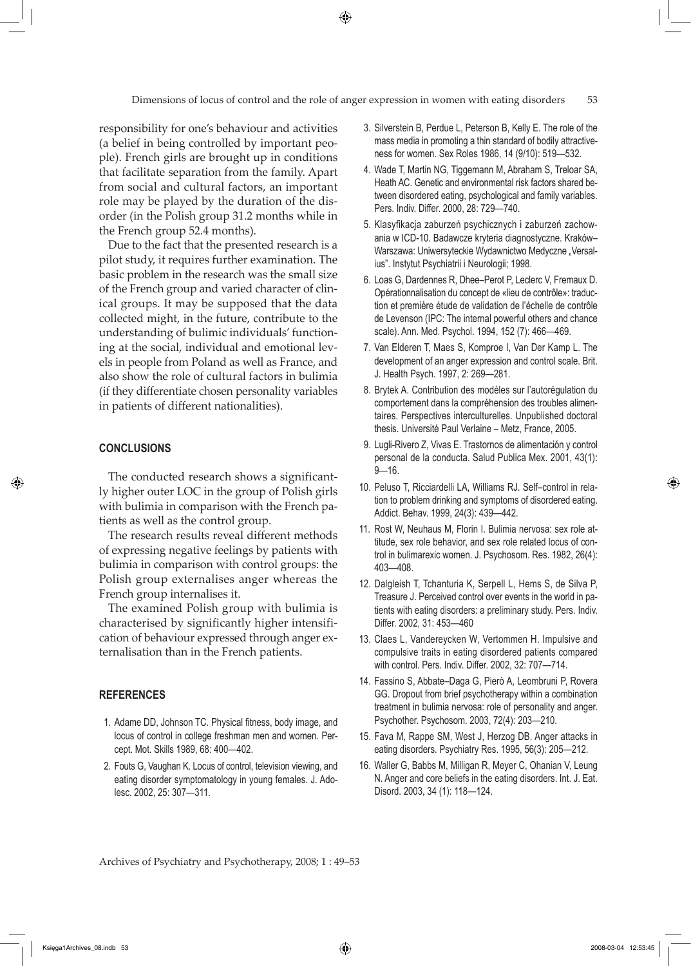⊕

responsibility for one's behaviour and activities (a belief in being controlled by important people). French girls are brought up in conditions that facilitate separation from the family. Apart from social and cultural factors, an important role may be played by the duration of the disorder (in the Polish group 31.2 months while in the French group 52.4 months).

Due to the fact that the presented research is a pilot study, it requires further examination. The basic problem in the research was the small size of the French group and varied character of clinical groups. It may be supposed that the data collected might, in the future, contribute to the understanding of bulimic individuals' functioning at the social, individual and emotional levels in people from Poland as well as France, and also show the role of cultural factors in bulimia (if they differentiate chosen personality variables in patients of different nationalities).

### **CONCLUSIONS**

↔

The conducted research shows a significantly higher outer LOC in the group of Polish girls with bulimia in comparison with the French patients as well as the control group.

The research results reveal different methods of expressing negative feelings by patients with bulimia in comparison with control groups: the Polish group externalises anger whereas the French group internalises it.

The examined Polish group with bulimia is characterised by significantly higher intensification of behaviour expressed through anger externalisation than in the French patients.

#### **REFERENCES**

- 1. Adame DD, Johnson TC. Physical fitness, body image, and locus of control in college freshman men and women. Percept. Mot. Skills 1989, 68: 400—402.
- 2. Fouts G, Vaughan K. Locus of control, television viewing, and eating disorder symptomatology in young females. J. Adolesc. 2002, 25: 307—311.
- 3. Silverstein B, Perdue L, Peterson B, Kelly E. The role of the mass media in promoting a thin standard of bodily attractiveness for women. Sex Roles 1986, 14 (9/10): 519—532.
- 4. Wade T, Martin NG, Tiggemann M, Abraham S, Treloar SA, Heath AC. Genetic and environmental risk factors shared between disordered eating, psychological and family variables. Pers. Indiv. Differ. 2000, 28: 729—740.
- 5. Klasyfikacja zaburzeń psychicznych i zaburzeń zachowania w ICD-10. Badawcze kryteria diagnostyczne. Kraków– Warszawa: Uniwersyteckie Wydawnictwo Medyczne "Versalius". Instytut Psychiatrii i Neurologii; 1998.
- 6. Loas G, Dardennes R, Dhee–Perot P, Leclerc V, Fremaux D. Opérationnalisation du concept de «lieu de contrôle»: traduction et première étude de validation de l'échelle de contrôle de Levenson (IPC: The internal powerful others and chance scale). Ann. Med. Psychol. 1994, 152 (7): 466—469.
- 7. Van Elderen T, Maes S, Komproe I, Van Der Kamp L. The development of an anger expression and control scale. Brit. J. Health Psych. 1997, 2: 269—281.
- 8. Brytek A. Contribution des modèles sur l'autorégulation du comportement dans la compréhension des troubles alimentaires. Perspectives interculturelles. Unpublished doctoral thesis. Université Paul Verlaine – Metz, France, 2005.
- 9. Lugli-Rivero Z, Vivas E. Trastornos de alimentación y control personal de la conducta. Salud Publica Mex. 2001, 43(1): 9—16.
- 10. Peluso T, Ricciardelli LA, Williams RJ. Self–control in relation to problem drinking and symptoms of disordered eating. Addict. Behav. 1999, 24(3): 439—442.
- 11. Rost W, Neuhaus M, Florin I. Bulimia nervosa: sex role attitude, sex role behavior, and sex role related locus of control in bulimarexic women. J. Psychosom. Res. 1982, 26(4): 403—408.
- 12. Dalgleish T, Tchanturia K, Serpell L, Hems S, de Silva P, Treasure J. Perceived control over events in the world in patients with eating disorders: a preliminary study. Pers. Indiv. Differ. 2002, 31: 453—460
- 13. Claes L, Vandereycken W, Vertommen H. Impulsive and compulsive traits in eating disordered patients compared with control. Pers. Indiv. Differ. 2002, 32: 707—714.
- 14. Fassino S, Abbate–Daga G, Pierò A, Leombruni P, Rovera GG. Dropout from brief psychotherapy within a combination treatment in bulimia nervosa: role of personality and anger. Psychother. Psychosom. 2003, 72(4): 203—210.
- 15. Fava M, Rappe SM, West J, Herzog DB. Anger attacks in eating disorders. Psychiatry Res. 1995, 56(3): 205—212.
- 16. Waller G, Babbs M, Milligan R, Meyer C, Ohanian V, Leung N. Anger and core beliefs in the eating disorders. Int. J. Eat. Disord. 2003, 34 (1): 118—124.

Archives of Psychiatry and Psychotherapy, 2008; 1 : 49–53

 $\Leftrightarrow$